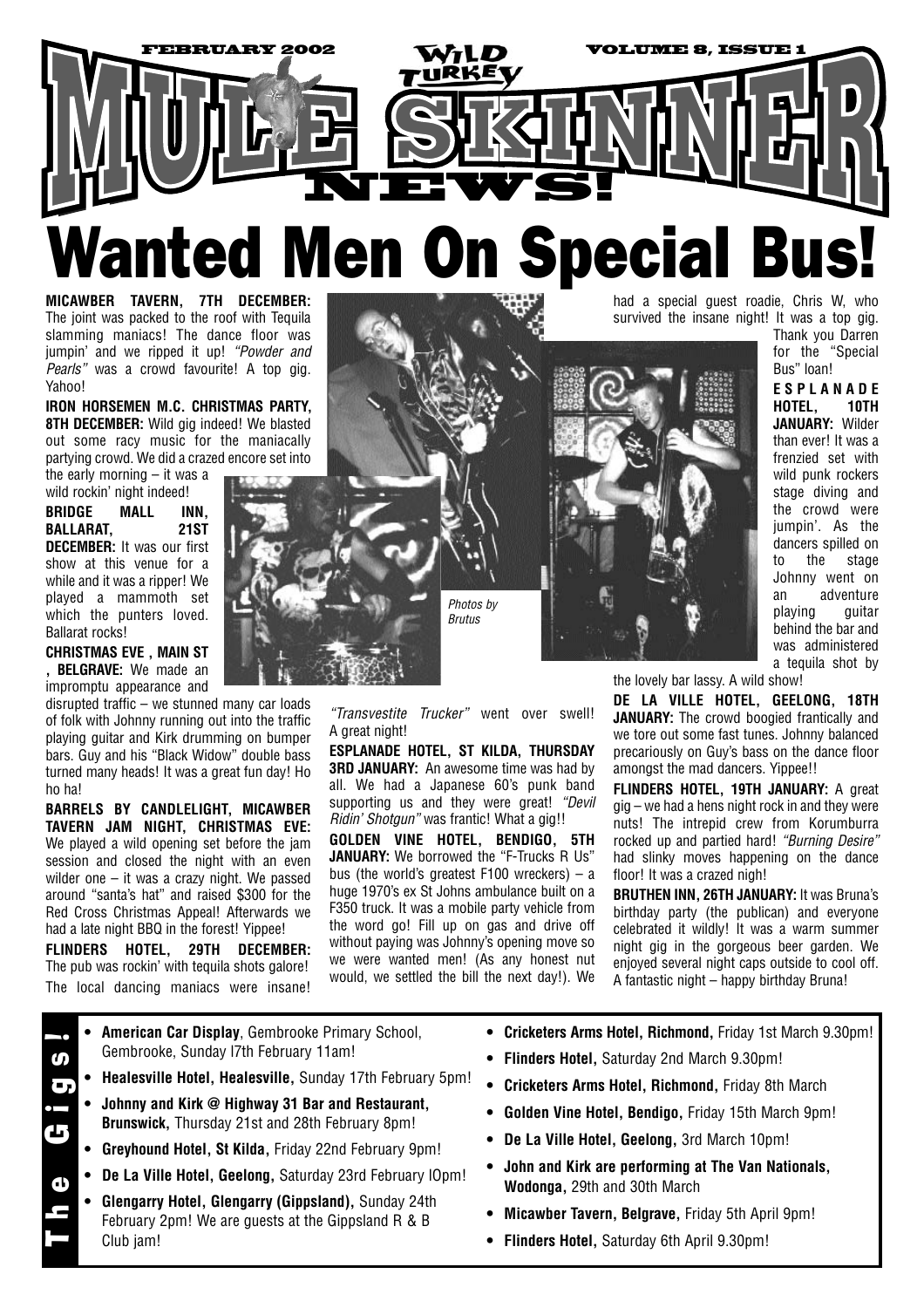

**MICAWBER TAVERN, 7TH DECEMBER:** The joint was packed to the roof with Tequila slamming maniacs! The dance floor was jumpin' and we ripped it up! *"Powder and Pearls*" was a crowd favourite! A top gig. Yahoo!

**IRON HORSEMEN M.C. CHRISTMAS PARTY, 8TH DECEMBER:** Wild gig indeed! We blasted out some racy music for the maniacally partying crowd. We did a crazed encore set into

the early morning – it was a wild rockin' night indeed!

**BRIDGE MALL INN, BALLARAT, 21ST DECEMBER:** It was our first show at this venue for a while and it was a ripper! We played a mammoth set which the punters loved. Ballarat rocks!

**CHRISTMAS EVE , MAIN ST , BELGRAVE:** We made an impromptu appearance and

disrupted traffic – we stunned many car loads of folk with Johnny running out into the traffic playing guitar and Kirk drumming on bumper bars. Guy and his "Black Widow" double bass turned many heads! It was a great fun day! Ho ho ha!

**BARRELS BY CANDLELIGHT, MICAWBER TAVERN JAM NIGHT, CHRISTMAS EVE:** We played a wild opening set before the jam session and closed the night with an even wilder one – it was a crazy night. We passed around "santa's hat" and raised \$300 for the Red Cross Christmas Appeal! Afterwards we had a late night BBQ in the forest! Yippee!

**FLINDERS HOTEL, 29TH DECEMBER:** The pub was rockin' with tequila shots galore! The local dancing maniacs were insane!



*"Transvestite Trucker"* went over swell! A great night!

**ESPLANADE HOTEL, ST KILDA, THURSDAY 3RD JANUARY:** An awesome time was had by all. We had a Japanese 60's punk band supporting us and they were great! *"Devil Ridin' Shotgun"* was frantic! What a gig!!

**GOLDEN VINE HOTEL, BENDIGO, 5TH** JANUARY: We borrowed the "F-Trucks R Us" bus (the world's greatest F100 wreckers) – a huge 1970's ex St Johns ambulance built on a F350 truck. It was a mobile party vehicle from the word go! Fill up on gas and drive off without paying was Johnny's opening move so we were wanted men! (As any honest nut would, we settled the bill the next day!). We

had a special guest roadie, Chris W, who survived the insane night! It was a top gig.



Bus" loan! **ESPLANADE HOTEL, 10TH JANUARY:** Wilder than ever! It was a frenzied set with wild punk rockers stage diving and the crowd were jumpin'. As the dancers spilled on to the stage Johnny went on an adventure playing guitar

behind the bar and was administered a tequila shot by

Thank you Darren for the "Special

the lovely bar lassy. A wild show!

**DE LA VILLE HOTEL, GEELONG, 18TH JANUARY:** The crowd boogied frantically and we tore out some fast tunes. Johnny balanced precariously on Guy's bass on the dance floor amongst the mad dancers. Yippee!!

**FLINDERS HOTEL, 19TH JANUARY:** A great gig – we had a hens night rock in and they were nuts! The intrepid crew from Korumburra rocked up and partied hard! *"Burning Desire"* had slinky moves happening on the dance floor! It was a crazed nigh!

**BRUTHEN INN, 26TH JANUARY:** It was Bruna's birthday party (the publican) and everyone celebrated it wildly! It was a warm summer night gig in the gorgeous beer garden. We enjoyed several night caps outside to cool off. A fantastic night – happy birthday Bruna!

- **• American Car Display**, Gembrooke Primary School, Gembrooke, Sunday l7th February 11am! The Gigs!
	- **• Healesville Hotel, Healesville,** Sunday 17th February 5pm!
	- **• Johnny and Kirk @ Highway 31 Bar and Restaurant, Brunswick,** Thursday 21st and 28th February 8pm!
	- **Greyhound Hotel, St Kilda,** Friday 22nd February 9pm!
	- **• De La Ville Hotel, Geelong,** Saturday 23rd February lOpm!
	- **• Glengarry Hotel, Glengarry (Gippsland),** Sunday 24th February 2pm! We are guests at the Gippsland R & B Club jam!
- **• Cricketers Arms Hotel, Richmond,** Friday 1st March 9.30pm!
- **• Flinders Hotel,** Saturday 2nd March 9.30pm!
- **• Cricketers Arms Hotel, Richmond,** Friday 8th March
- **• Golden Vine Hotel, Bendigo,** Friday 15th March 9pm!
- **• De La Ville Hotel, Geelong,** 3rd March 10pm!
- **• John and Kirk are performing at The Van Nationals, Wodonga,** 29th and 30th March
- **• Micawber Tavern, Belgrave,** Friday 5th April 9pm!
- **• Flinders Hotel,** Saturday 6th April 9.30pm!